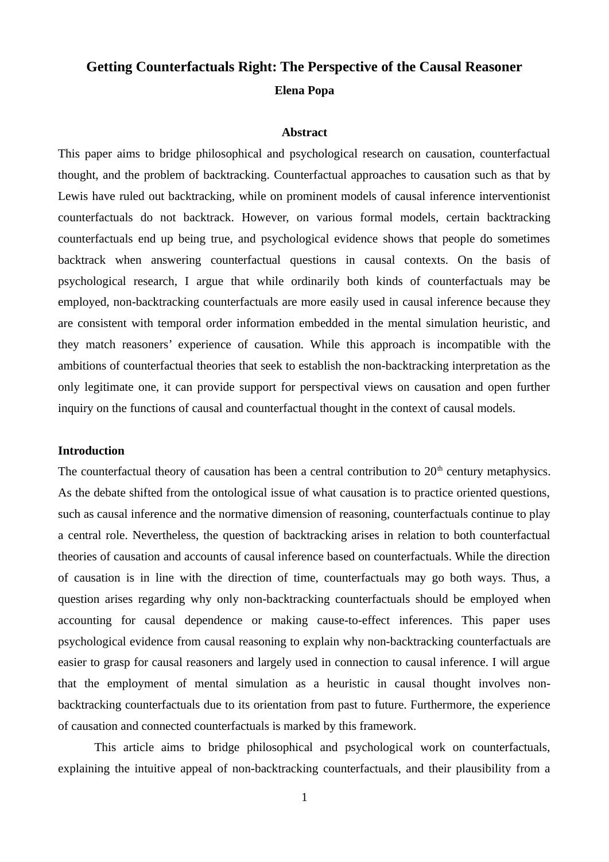# **Getting Counterfactuals Right: The Perspective of the Causal Reasoner Elena Popa**

### **Abstract**

This paper aims to bridge philosophical and psychological research on causation, counterfactual thought, and the problem of backtracking. Counterfactual approaches to causation such as that by Lewis have ruled out backtracking, while on prominent models of causal inference interventionist counterfactuals do not backtrack. However, on various formal models, certain backtracking counterfactuals end up being true, and psychological evidence shows that people do sometimes backtrack when answering counterfactual questions in causal contexts. On the basis of psychological research, I argue that while ordinarily both kinds of counterfactuals may be employed, non-backtracking counterfactuals are more easily used in causal inference because they are consistent with temporal order information embedded in the mental simulation heuristic, and they match reasoners' experience of causation. While this approach is incompatible with the ambitions of counterfactual theories that seek to establish the non-backtracking interpretation as the only legitimate one, it can provide support for perspectival views on causation and open further inquiry on the functions of causal and counterfactual thought in the context of causal models.

### **Introduction**

The counterfactual theory of causation has been a central contribution to  $20<sup>th</sup>$  century metaphysics. As the debate shifted from the ontological issue of what causation is to practice oriented questions, such as causal inference and the normative dimension of reasoning, counterfactuals continue to play a central role. Nevertheless, the question of backtracking arises in relation to both counterfactual theories of causation and accounts of causal inference based on counterfactuals. While the direction of causation is in line with the direction of time, counterfactuals may go both ways. Thus, a question arises regarding why only non-backtracking counterfactuals should be employed when accounting for causal dependence or making cause-to-effect inferences. This paper uses psychological evidence from causal reasoning to explain why non-backtracking counterfactuals are easier to grasp for causal reasoners and largely used in connection to causal inference. I will argue that the employment of mental simulation as a heuristic in causal thought involves nonbacktracking counterfactuals due to its orientation from past to future. Furthermore, the experience of causation and connected counterfactuals is marked by this framework.

This article aims to bridge philosophical and psychological work on counterfactuals, explaining the intuitive appeal of non-backtracking counterfactuals, and their plausibility from a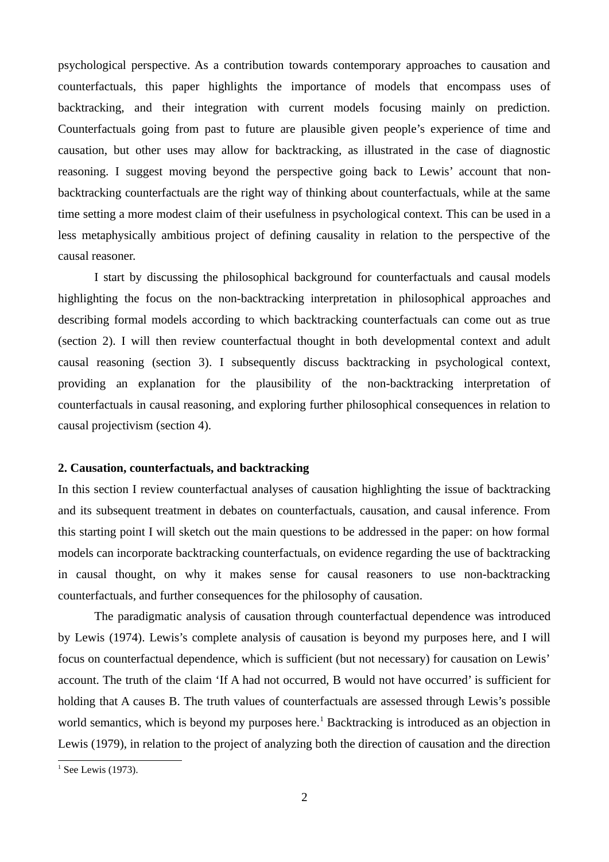psychological perspective. As a contribution towards contemporary approaches to causation and counterfactuals, this paper highlights the importance of models that encompass uses of backtracking, and their integration with current models focusing mainly on prediction. Counterfactuals going from past to future are plausible given people's experience of time and causation, but other uses may allow for backtracking, as illustrated in the case of diagnostic reasoning. I suggest moving beyond the perspective going back to Lewis' account that nonbacktracking counterfactuals are the right way of thinking about counterfactuals, while at the same time setting a more modest claim of their usefulness in psychological context. This can be used in a less metaphysically ambitious project of defining causality in relation to the perspective of the causal reasoner.

I start by discussing the philosophical background for counterfactuals and causal models highlighting the focus on the non-backtracking interpretation in philosophical approaches and describing formal models according to which backtracking counterfactuals can come out as true (section 2). I will then review counterfactual thought in both developmental context and adult causal reasoning (section 3). I subsequently discuss backtracking in psychological context, providing an explanation for the plausibility of the non-backtracking interpretation of counterfactuals in causal reasoning, and exploring further philosophical consequences in relation to causal projectivism (section 4).

## **2. Causation, counterfactuals, and backtracking**

In this section I review counterfactual analyses of causation highlighting the issue of backtracking and its subsequent treatment in debates on counterfactuals, causation, and causal inference. From this starting point I will sketch out the main questions to be addressed in the paper: on how formal models can incorporate backtracking counterfactuals, on evidence regarding the use of backtracking in causal thought, on why it makes sense for causal reasoners to use non-backtracking counterfactuals, and further consequences for the philosophy of causation.

The paradigmatic analysis of causation through counterfactual dependence was introduced by Lewis (1974). Lewis's complete analysis of causation is beyond my purposes here, and I will focus on counterfactual dependence, which is sufficient (but not necessary) for causation on Lewis' account. The truth of the claim 'If A had not occurred, B would not have occurred' is sufficient for holding that A causes B. The truth values of counterfactuals are assessed through Lewis's possible world semantics, which is beyond my purposes here.<sup>[1](#page-1-0)</sup> Backtracking is introduced as an objection in Lewis (1979), in relation to the project of analyzing both the direction of causation and the direction

<span id="page-1-0"></span> $<sup>1</sup>$  See Lewis (1973).</sup>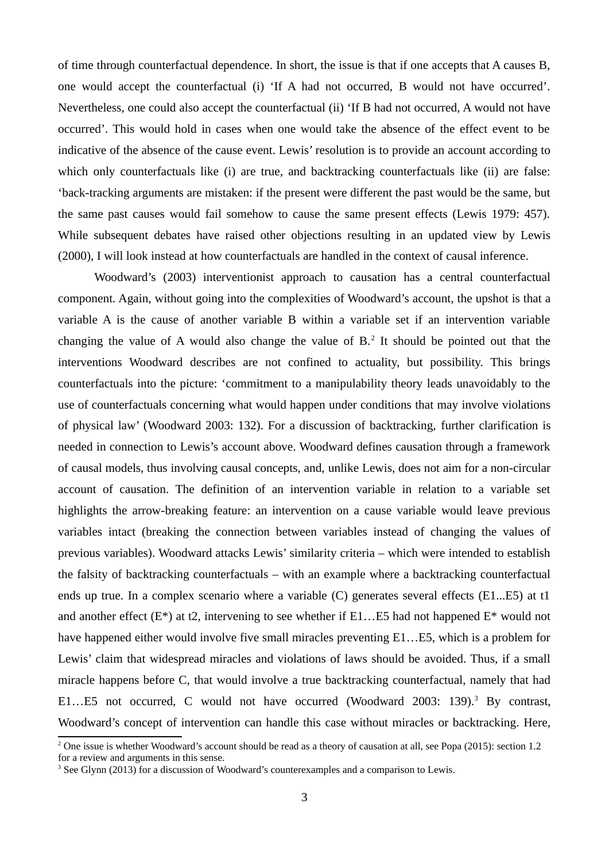of time through counterfactual dependence. In short, the issue is that if one accepts that A causes B, one would accept the counterfactual (i) 'If A had not occurred, B would not have occurred'. Nevertheless, one could also accept the counterfactual (ii) 'If B had not occurred, A would not have occurred'. This would hold in cases when one would take the absence of the effect event to be indicative of the absence of the cause event. Lewis' resolution is to provide an account according to which only counterfactuals like (i) are true, and backtracking counterfactuals like (ii) are false: 'back-tracking arguments are mistaken: if the present were different the past would be the same, but the same past causes would fail somehow to cause the same present effects (Lewis 1979: 457). While subsequent debates have raised other objections resulting in an updated view by Lewis (2000), I will look instead at how counterfactuals are handled in the context of causal inference.

Woodward's (2003) interventionist approach to causation has a central counterfactual component. Again, without going into the complexities of Woodward's account, the upshot is that a variable A is the cause of another variable B within a variable set if an intervention variable changing the value of A would also change the value of  $B<sup>2</sup>$  $B<sup>2</sup>$  $B<sup>2</sup>$ . It should be pointed out that the interventions Woodward describes are not confined to actuality, but possibility. This brings counterfactuals into the picture: 'commitment to a manipulability theory leads unavoidably to the use of counterfactuals concerning what would happen under conditions that may involve violations of physical law' (Woodward 2003: 132). For a discussion of backtracking, further clarification is needed in connection to Lewis's account above. Woodward defines causation through a framework of causal models, thus involving causal concepts, and, unlike Lewis, does not aim for a non-circular account of causation. The definition of an intervention variable in relation to a variable set highlights the arrow-breaking feature: an intervention on a cause variable would leave previous variables intact (breaking the connection between variables instead of changing the values of previous variables). Woodward attacks Lewis' similarity criteria – which were intended to establish the falsity of backtracking counterfactuals – with an example where a backtracking counterfactual ends up true. In a complex scenario where a variable (C) generates several effects (E1...E5) at t1 and another effect  $(E^*)$  at t2, intervening to see whether if E1... E5 had not happened  $E^*$  would not have happened either would involve five small miracles preventing E1…E5, which is a problem for Lewis' claim that widespread miracles and violations of laws should be avoided. Thus, if a small miracle happens before C, that would involve a true backtracking counterfactual, namely that had E1...E5 not occurred, C would not have occurred (Woodward 200[3](#page-2-1): 139).<sup>3</sup> By contrast, Woodward's concept of intervention can handle this case without miracles or backtracking. Here,

<span id="page-2-0"></span><sup>&</sup>lt;sup>2</sup> One issue is whether Woodward's account should be read as a theory of causation at all, see Popa (2015): section 1.2 for a review and arguments in this sense.

<span id="page-2-1"></span><sup>&</sup>lt;sup>3</sup> See Glynn (2013) for a discussion of Woodward's counterexamples and a comparison to Lewis.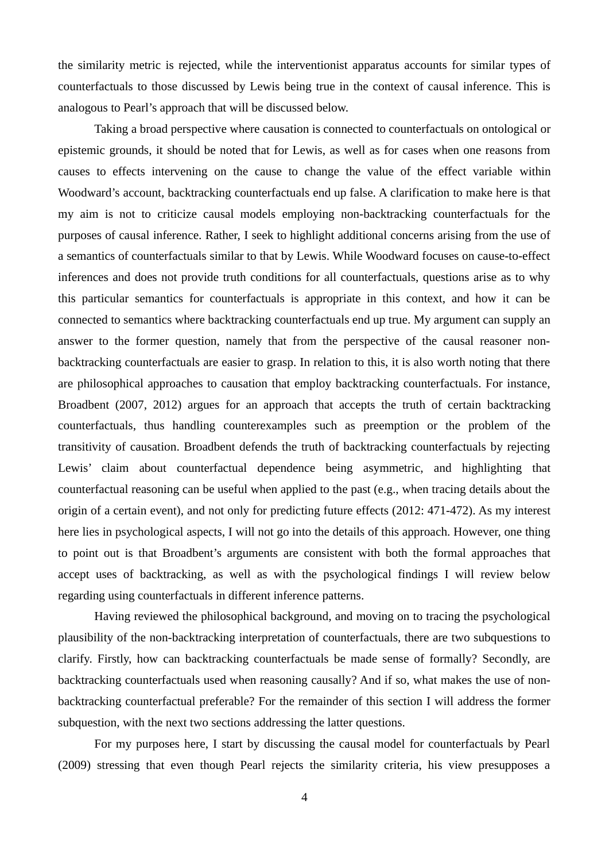the similarity metric is rejected, while the interventionist apparatus accounts for similar types of counterfactuals to those discussed by Lewis being true in the context of causal inference. This is analogous to Pearl's approach that will be discussed below.

Taking a broad perspective where causation is connected to counterfactuals on ontological or epistemic grounds, it should be noted that for Lewis, as well as for cases when one reasons from causes to effects intervening on the cause to change the value of the effect variable within Woodward's account, backtracking counterfactuals end up false. A clarification to make here is that my aim is not to criticize causal models employing non-backtracking counterfactuals for the purposes of causal inference. Rather, I seek to highlight additional concerns arising from the use of a semantics of counterfactuals similar to that by Lewis. While Woodward focuses on cause-to-effect inferences and does not provide truth conditions for all counterfactuals, questions arise as to why this particular semantics for counterfactuals is appropriate in this context, and how it can be connected to semantics where backtracking counterfactuals end up true. My argument can supply an answer to the former question, namely that from the perspective of the causal reasoner nonbacktracking counterfactuals are easier to grasp. In relation to this, it is also worth noting that there are philosophical approaches to causation that employ backtracking counterfactuals. For instance, Broadbent (2007, 2012) argues for an approach that accepts the truth of certain backtracking counterfactuals, thus handling counterexamples such as preemption or the problem of the transitivity of causation. Broadbent defends the truth of backtracking counterfactuals by rejecting Lewis' claim about counterfactual dependence being asymmetric, and highlighting that counterfactual reasoning can be useful when applied to the past (e.g., when tracing details about the origin of a certain event), and not only for predicting future effects (2012: 471-472). As my interest here lies in psychological aspects, I will not go into the details of this approach. However, one thing to point out is that Broadbent's arguments are consistent with both the formal approaches that accept uses of backtracking, as well as with the psychological findings I will review below regarding using counterfactuals in different inference patterns.

Having reviewed the philosophical background, and moving on to tracing the psychological plausibility of the non-backtracking interpretation of counterfactuals, there are two subquestions to clarify. Firstly, how can backtracking counterfactuals be made sense of formally? Secondly, are backtracking counterfactuals used when reasoning causally? And if so, what makes the use of nonbacktracking counterfactual preferable? For the remainder of this section I will address the former subquestion, with the next two sections addressing the latter questions.

For my purposes here, I start by discussing the causal model for counterfactuals by Pearl (2009) stressing that even though Pearl rejects the similarity criteria, his view presupposes a

4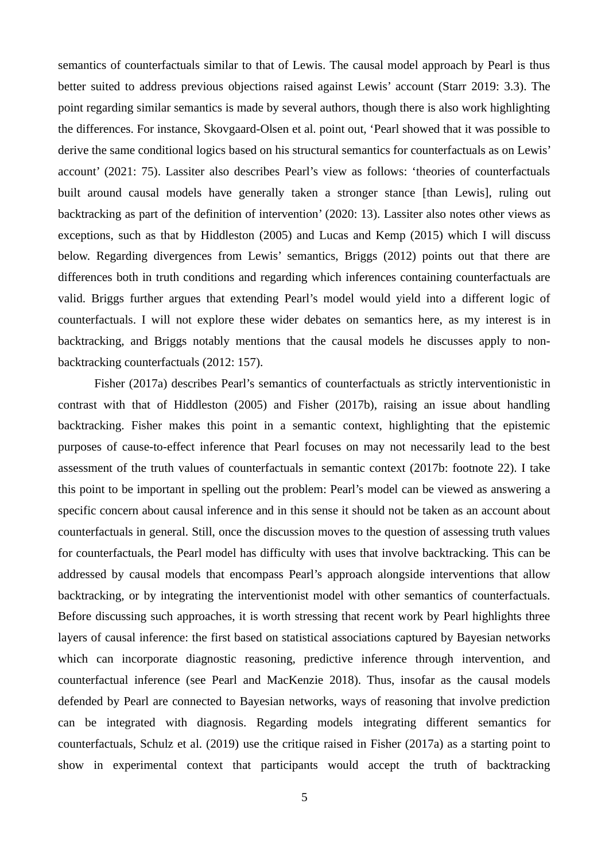semantics of counterfactuals similar to that of Lewis. The causal model approach by Pearl is thus better suited to address previous objections raised against Lewis' account (Starr 2019: 3.3). The point regarding similar semantics is made by several authors, though there is also work highlighting the differences. For instance, Skovgaard-Olsen et al. point out, 'Pearl showed that it was possible to derive the same conditional logics based on his structural semantics for counterfactuals as on Lewis' account' (2021: 75). Lassiter also describes Pearl's view as follows: 'theories of counterfactuals built around causal models have generally taken a stronger stance [than Lewis], ruling out backtracking as part of the definition of intervention' (2020: 13). Lassiter also notes other views as exceptions, such as that by Hiddleston (2005) and Lucas and Kemp (2015) which I will discuss below. Regarding divergences from Lewis' semantics, Briggs (2012) points out that there are differences both in truth conditions and regarding which inferences containing counterfactuals are valid. Briggs further argues that extending Pearl's model would yield into a different logic of counterfactuals. I will not explore these wider debates on semantics here, as my interest is in backtracking, and Briggs notably mentions that the causal models he discusses apply to nonbacktracking counterfactuals (2012: 157).

Fisher (2017a) describes Pearl's semantics of counterfactuals as strictly interventionistic in contrast with that of Hiddleston (2005) and Fisher (2017b), raising an issue about handling backtracking. Fisher makes this point in a semantic context, highlighting that the epistemic purposes of cause-to-effect inference that Pearl focuses on may not necessarily lead to the best assessment of the truth values of counterfactuals in semantic context (2017b: footnote 22). I take this point to be important in spelling out the problem: Pearl's model can be viewed as answering a specific concern about causal inference and in this sense it should not be taken as an account about counterfactuals in general. Still, once the discussion moves to the question of assessing truth values for counterfactuals, the Pearl model has difficulty with uses that involve backtracking. This can be addressed by causal models that encompass Pearl's approach alongside interventions that allow backtracking, or by integrating the interventionist model with other semantics of counterfactuals. Before discussing such approaches, it is worth stressing that recent work by Pearl highlights three layers of causal inference: the first based on statistical associations captured by Bayesian networks which can incorporate diagnostic reasoning, predictive inference through intervention, and counterfactual inference (see Pearl and MacKenzie 2018). Thus, insofar as the causal models defended by Pearl are connected to Bayesian networks, ways of reasoning that involve prediction can be integrated with diagnosis. Regarding models integrating different semantics for counterfactuals, Schulz et al. (2019) use the critique raised in Fisher (2017a) as a starting point to show in experimental context that participants would accept the truth of backtracking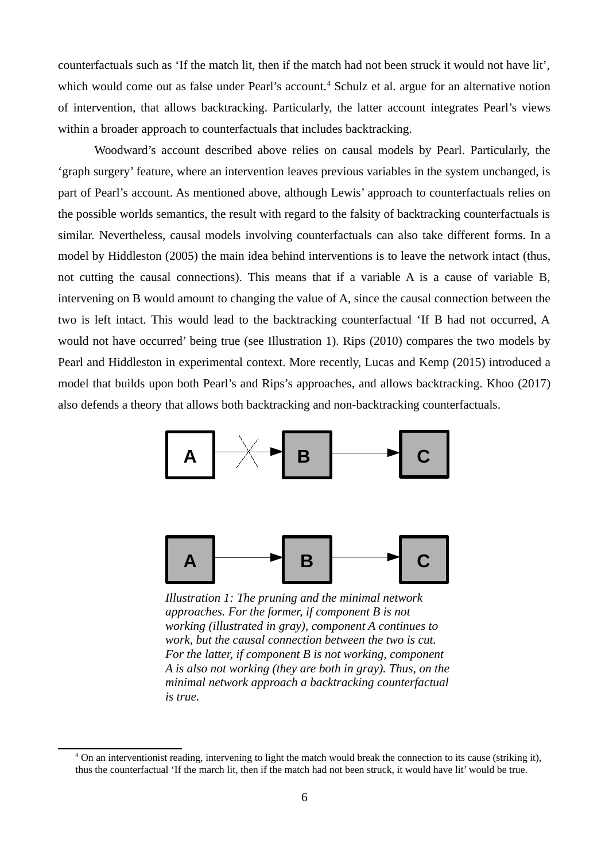counterfactuals such as 'If the match lit, then if the match had not been struck it would not have lit', which would come out as false under Pearl's account.<sup>[4](#page-5-0)</sup> Schulz et al. argue for an alternative notion of intervention, that allows backtracking. Particularly, the latter account integrates Pearl's views within a broader approach to counterfactuals that includes backtracking.

Woodward's account described above relies on causal models by Pearl. Particularly, the 'graph surgery' feature, where an intervention leaves previous variables in the system unchanged, is part of Pearl's account. As mentioned above, although Lewis' approach to counterfactuals relies on the possible worlds semantics, the result with regard to the falsity of backtracking counterfactuals is similar. Nevertheless, causal models involving counterfactuals can also take different forms. In a model by Hiddleston (2005) the main idea behind interventions is to leave the network intact (thus, not cutting the causal connections). This means that if a variable A is a cause of variable B, intervening on B would amount to changing the value of A, since the causal connection between the two is left intact. This would lead to the backtracking counterfactual 'If B had not occurred, A would not have occurred' being true (see Illustration 1). Rips (2010) compares the two models by Pearl and Hiddleston in experimental context. More recently, Lucas and Kemp (2015) introduced a model that builds upon both Pearl's and Rips's approaches, and allows backtracking. Khoo (2017) also defends a theory that allows both backtracking and non-backtracking counterfactuals.



*Illustration 1: The pruning and the minimal network approaches. For the former, if component B is not working (illustrated in gray), component A continues to work, but the causal connection between the two is cut. For the latter, if component B is not working, component A is also not working (they are both in gray). Thus, on the minimal network approach a backtracking counterfactual is true.*

<span id="page-5-0"></span><sup>&</sup>lt;sup>4</sup> On an interventionist reading, intervening to light the match would break the connection to its cause (striking it), thus the counterfactual 'If the march lit, then if the match had not been struck, it would have lit' would be true.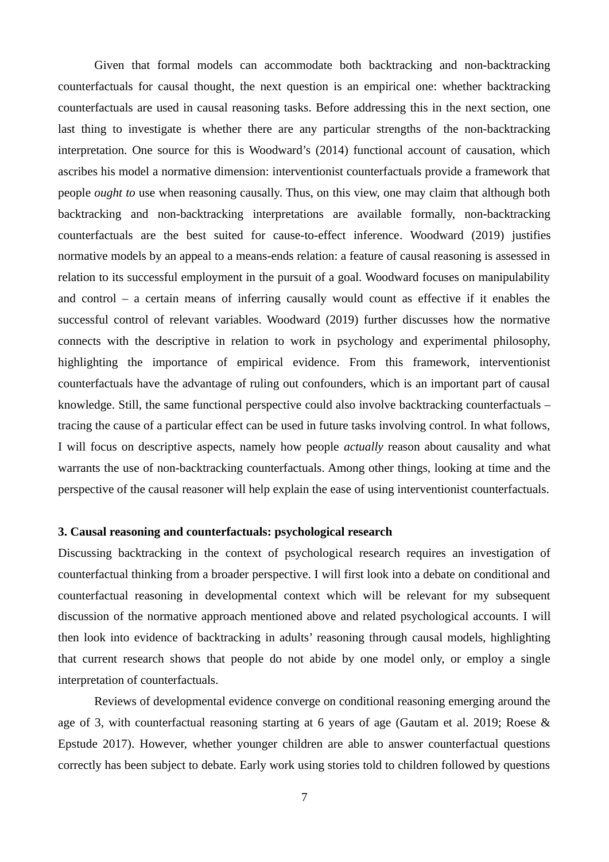Given that formal models can accommodate both backtracking and non-backtracking counterfactuals for causal thought, the next question is an empirical one: whether backtracking counterfactuals are used in causal reasoning tasks. Before addressing this in the next section, one last thing to investigate is whether there are any particular strengths of the non-backtracking interpretation. One source for this is Woodward's (2014) functional account of causation, which ascribes his model a normative dimension: interventionist counterfactuals provide a framework that people *ought to* use when reasoning causally. Thus, on this view, one may claim that although both backtracking and non-backtracking interpretations are available formally, non-backtracking counterfactuals are the best suited for cause-to-effect inference. Woodward (2019) justifies normative models by an appeal to a means-ends relation: a feature of causal reasoning is assessed in relation to its successful employment in the pursuit of a goal. Woodward focuses on manipulability and control – a certain means of inferring causally would count as effective if it enables the successful control of relevant variables. Woodward (2019) further discusses how the normative connects with the descriptive in relation to work in psychology and experimental philosophy, highlighting the importance of empirical evidence. From this framework, interventionist counterfactuals have the advantage of ruling out confounders, which is an important part of causal knowledge. Still, the same functional perspective could also involve backtracking counterfactuals – tracing the cause of a particular effect can be used in future tasks involving control. In what follows, I will focus on descriptive aspects, namely how people *actually* reason about causality and what warrants the use of non-backtracking counterfactuals. Among other things, looking at time and the perspective of the causal reasoner will help explain the ease of using interventionist counterfactuals.

# **3. Causal reasoning and counterfactuals: psychological research**

Discussing backtracking in the context of psychological research requires an investigation of counterfactual thinking from a broader perspective. I will first look into a debate on conditional and counterfactual reasoning in developmental context which will be relevant for my subsequent discussion of the normative approach mentioned above and related psychological accounts. I will then look into evidence of backtracking in adults' reasoning through causal models, highlighting that current research shows that people do not abide by one model only, or employ a single interpretation of counterfactuals.

Reviews of developmental evidence converge on conditional reasoning emerging around the age of 3, with counterfactual reasoning starting at 6 years of age (Gautam et al. 2019; Roese & Epstude 2017). However, whether younger children are able to answer counterfactual questions correctly has been subject to debate. Early work using stories told to children followed by questions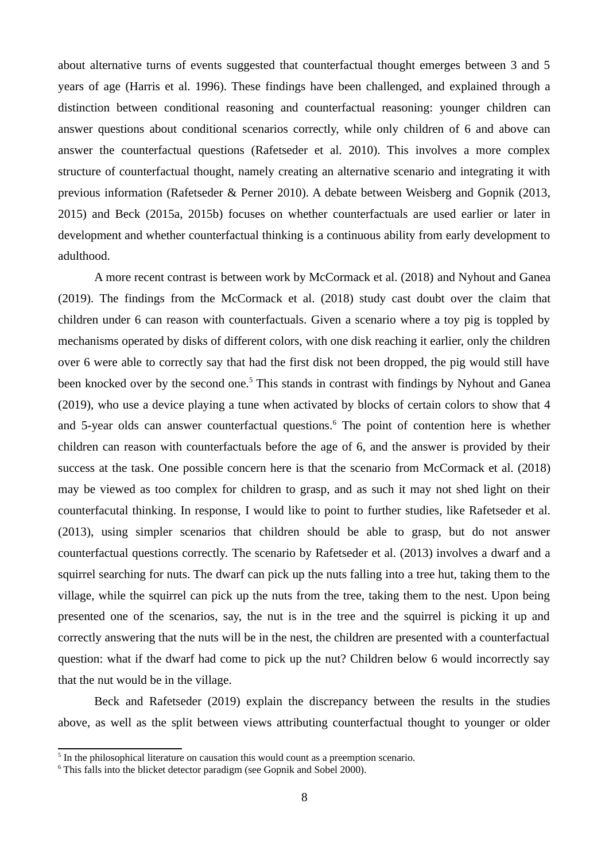about alternative turns of events suggested that counterfactual thought emerges between 3 and 5 years of age (Harris et al. 1996). These findings have been challenged, and explained through a distinction between conditional reasoning and counterfactual reasoning: younger children can answer questions about conditional scenarios correctly, while only children of 6 and above can answer the counterfactual questions (Rafetseder et al. 2010). This involves a more complex structure of counterfactual thought, namely creating an alternative scenario and integrating it with previous information (Rafetseder & Perner 2010). A debate between Weisberg and Gopnik (2013, 2015) and Beck (2015a, 2015b) focuses on whether counterfactuals are used earlier or later in development and whether counterfactual thinking is a continuous ability from early development to adulthood.

A more recent contrast is between work by McCormack et al. (2018) and Nyhout and Ganea (2019). The findings from the McCormack et al. (2018) study cast doubt over the claim that children under 6 can reason with counterfactuals. Given a scenario where a toy pig is toppled by mechanisms operated by disks of different colors, with one disk reaching it earlier, only the children over 6 were able to correctly say that had the first disk not been dropped, the pig would still have been knocked over by the second one.<sup>[5](#page-7-0)</sup> This stands in contrast with findings by Nyhout and Ganea (2019), who use a device playing a tune when activated by blocks of certain colors to show that 4 and 5-year olds can answer counterfactual questions. $6$  The point of contention here is whether children can reason with counterfactuals before the age of 6, and the answer is provided by their success at the task. One possible concern here is that the scenario from McCormack et al. (2018) may be viewed as too complex for children to grasp, and as such it may not shed light on their counterfacutal thinking. In response, I would like to point to further studies, like Rafetseder et al. (2013), using simpler scenarios that children should be able to grasp, but do not answer counterfactual questions correctly. The scenario by Rafetseder et al. (2013) involves a dwarf and a squirrel searching for nuts. The dwarf can pick up the nuts falling into a tree hut, taking them to the village, while the squirrel can pick up the nuts from the tree, taking them to the nest. Upon being presented one of the scenarios, say, the nut is in the tree and the squirrel is picking it up and correctly answering that the nuts will be in the nest, the children are presented with a counterfactual question: what if the dwarf had come to pick up the nut? Children below 6 would incorrectly say that the nut would be in the village.

Beck and Rafetseder (2019) explain the discrepancy between the results in the studies above, as well as the split between views attributing counterfactual thought to younger or older

<span id="page-7-0"></span><sup>&</sup>lt;sup>5</sup> In the philosophical literature on causation this would count as a preemption scenario.

<span id="page-7-1"></span><sup>&</sup>lt;sup>6</sup> This falls into the blicket detector paradigm (see Gopnik and Sobel 2000).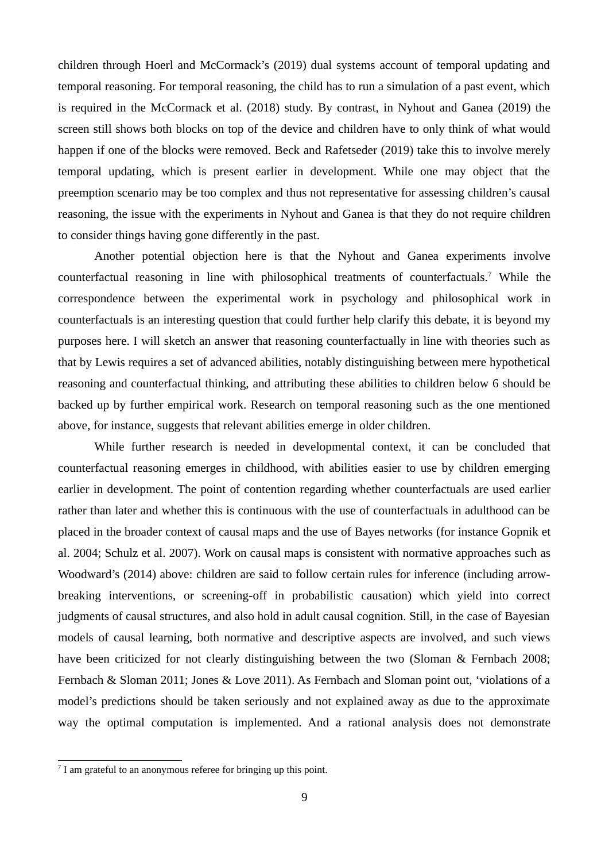children through Hoerl and McCormack's (2019) dual systems account of temporal updating and temporal reasoning. For temporal reasoning, the child has to run a simulation of a past event, which is required in the McCormack et al. (2018) study. By contrast, in Nyhout and Ganea (2019) the screen still shows both blocks on top of the device and children have to only think of what would happen if one of the blocks were removed. Beck and Rafetseder (2019) take this to involve merely temporal updating, which is present earlier in development. While one may object that the preemption scenario may be too complex and thus not representative for assessing children's causal reasoning, the issue with the experiments in Nyhout and Ganea is that they do not require children to consider things having gone differently in the past.

Another potential objection here is that the Nyhout and Ganea experiments involve counterfactual reasoning in line with philosophical treatments of counterfactuals.[7](#page-8-0) While the correspondence between the experimental work in psychology and philosophical work in counterfactuals is an interesting question that could further help clarify this debate, it is beyond my purposes here. I will sketch an answer that reasoning counterfactually in line with theories such as that by Lewis requires a set of advanced abilities, notably distinguishing between mere hypothetical reasoning and counterfactual thinking, and attributing these abilities to children below 6 should be backed up by further empirical work. Research on temporal reasoning such as the one mentioned above, for instance, suggests that relevant abilities emerge in older children.

While further research is needed in developmental context, it can be concluded that counterfactual reasoning emerges in childhood, with abilities easier to use by children emerging earlier in development. The point of contention regarding whether counterfactuals are used earlier rather than later and whether this is continuous with the use of counterfactuals in adulthood can be placed in the broader context of causal maps and the use of Bayes networks (for instance Gopnik et al. 2004; Schulz et al. 2007). Work on causal maps is consistent with normative approaches such as Woodward's (2014) above: children are said to follow certain rules for inference (including arrowbreaking interventions, or screening-off in probabilistic causation) which yield into correct judgments of causal structures, and also hold in adult causal cognition. Still, in the case of Bayesian models of causal learning, both normative and descriptive aspects are involved, and such views have been criticized for not clearly distinguishing between the two (Sloman & Fernbach 2008; Fernbach & Sloman 2011; Jones & Love 2011). As Fernbach and Sloman point out, 'violations of a model's predictions should be taken seriously and not explained away as due to the approximate way the optimal computation is implemented. And a rational analysis does not demonstrate

<span id="page-8-0"></span><sup>&</sup>lt;sup>7</sup> I am grateful to an anonymous referee for bringing up this point.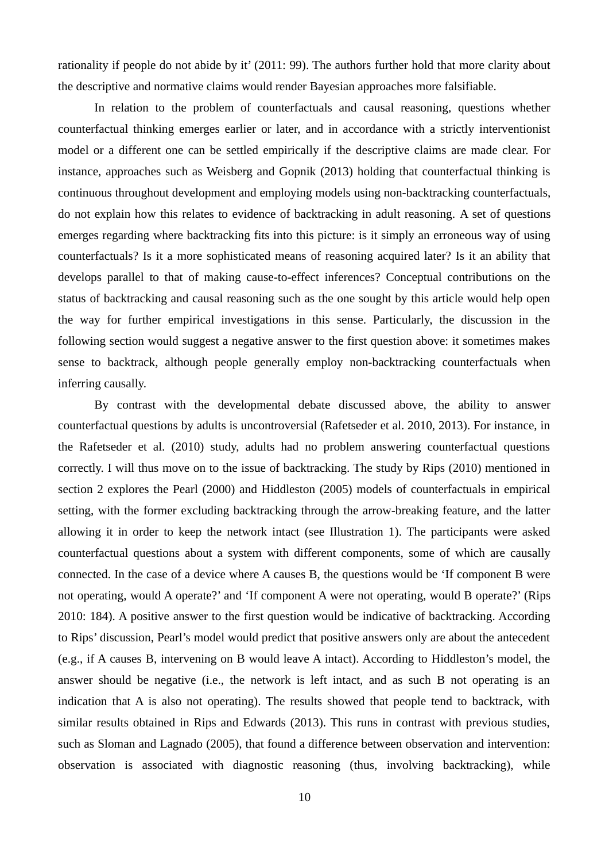rationality if people do not abide by it' (2011: 99). The authors further hold that more clarity about the descriptive and normative claims would render Bayesian approaches more falsifiable.

In relation to the problem of counterfactuals and causal reasoning, questions whether counterfactual thinking emerges earlier or later, and in accordance with a strictly interventionist model or a different one can be settled empirically if the descriptive claims are made clear. For instance, approaches such as Weisberg and Gopnik (2013) holding that counterfactual thinking is continuous throughout development and employing models using non-backtracking counterfactuals, do not explain how this relates to evidence of backtracking in adult reasoning. A set of questions emerges regarding where backtracking fits into this picture: is it simply an erroneous way of using counterfactuals? Is it a more sophisticated means of reasoning acquired later? Is it an ability that develops parallel to that of making cause-to-effect inferences? Conceptual contributions on the status of backtracking and causal reasoning such as the one sought by this article would help open the way for further empirical investigations in this sense. Particularly, the discussion in the following section would suggest a negative answer to the first question above: it sometimes makes sense to backtrack, although people generally employ non-backtracking counterfactuals when inferring causally.

By contrast with the developmental debate discussed above, the ability to answer counterfactual questions by adults is uncontroversial (Rafetseder et al. 2010, 2013). For instance, in the Rafetseder et al. (2010) study, adults had no problem answering counterfactual questions correctly. I will thus move on to the issue of backtracking. The study by Rips (2010) mentioned in section 2 explores the Pearl (2000) and Hiddleston (2005) models of counterfactuals in empirical setting, with the former excluding backtracking through the arrow-breaking feature, and the latter allowing it in order to keep the network intact (see Illustration 1). The participants were asked counterfactual questions about a system with different components, some of which are causally connected. In the case of a device where A causes B, the questions would be 'If component B were not operating, would A operate?' and 'If component A were not operating, would B operate?' (Rips 2010: 184). A positive answer to the first question would be indicative of backtracking. According to Rips' discussion, Pearl's model would predict that positive answers only are about the antecedent (e.g., if A causes B, intervening on B would leave A intact). According to Hiddleston's model, the answer should be negative (i.e., the network is left intact, and as such B not operating is an indication that A is also not operating). The results showed that people tend to backtrack, with similar results obtained in Rips and Edwards (2013). This runs in contrast with previous studies, such as Sloman and Lagnado (2005), that found a difference between observation and intervention: observation is associated with diagnostic reasoning (thus, involving backtracking), while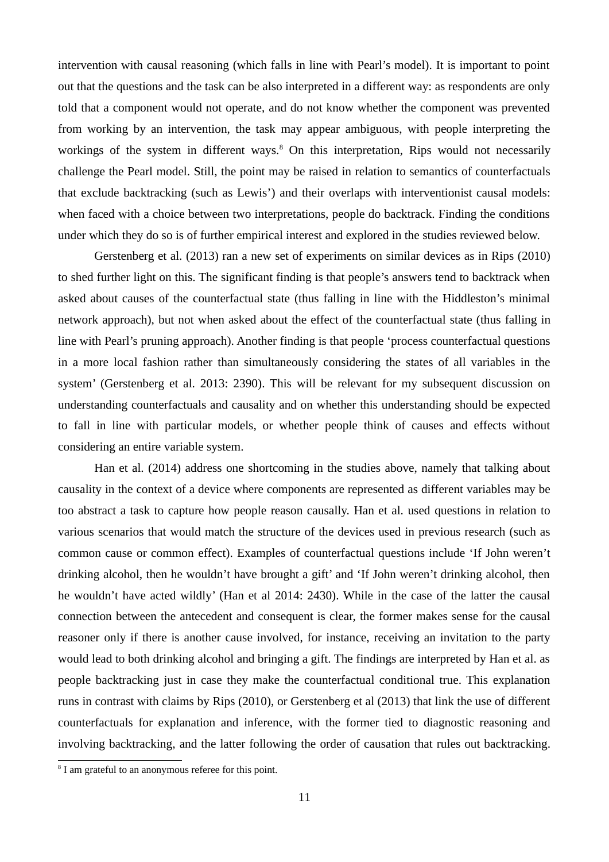intervention with causal reasoning (which falls in line with Pearl's model). It is important to point out that the questions and the task can be also interpreted in a different way: as respondents are only told that a component would not operate, and do not know whether the component was prevented from working by an intervention, the task may appear ambiguous, with people interpreting the workings of the system in different ways.<sup>[8](#page-10-0)</sup> On this interpretation, Rips would not necessarily challenge the Pearl model. Still, the point may be raised in relation to semantics of counterfactuals that exclude backtracking (such as Lewis') and their overlaps with interventionist causal models: when faced with a choice between two interpretations, people do backtrack. Finding the conditions under which they do so is of further empirical interest and explored in the studies reviewed below.

Gerstenberg et al. (2013) ran a new set of experiments on similar devices as in Rips (2010) to shed further light on this. The significant finding is that people's answers tend to backtrack when asked about causes of the counterfactual state (thus falling in line with the Hiddleston's minimal network approach), but not when asked about the effect of the counterfactual state (thus falling in line with Pearl's pruning approach). Another finding is that people 'process counterfactual questions in a more local fashion rather than simultaneously considering the states of all variables in the system' (Gerstenberg et al. 2013: 2390). This will be relevant for my subsequent discussion on understanding counterfactuals and causality and on whether this understanding should be expected to fall in line with particular models, or whether people think of causes and effects without considering an entire variable system.

Han et al. (2014) address one shortcoming in the studies above, namely that talking about causality in the context of a device where components are represented as different variables may be too abstract a task to capture how people reason causally. Han et al. used questions in relation to various scenarios that would match the structure of the devices used in previous research (such as common cause or common effect). Examples of counterfactual questions include 'If John weren't drinking alcohol, then he wouldn't have brought a gift' and 'If John weren't drinking alcohol, then he wouldn't have acted wildly' (Han et al 2014: 2430). While in the case of the latter the causal connection between the antecedent and consequent is clear, the former makes sense for the causal reasoner only if there is another cause involved, for instance, receiving an invitation to the party would lead to both drinking alcohol and bringing a gift. The findings are interpreted by Han et al. as people backtracking just in case they make the counterfactual conditional true. This explanation runs in contrast with claims by Rips (2010), or Gerstenberg et al (2013) that link the use of different counterfactuals for explanation and inference, with the former tied to diagnostic reasoning and involving backtracking, and the latter following the order of causation that rules out backtracking.

<span id="page-10-0"></span><sup>&</sup>lt;sup>8</sup> I am grateful to an anonymous referee for this point.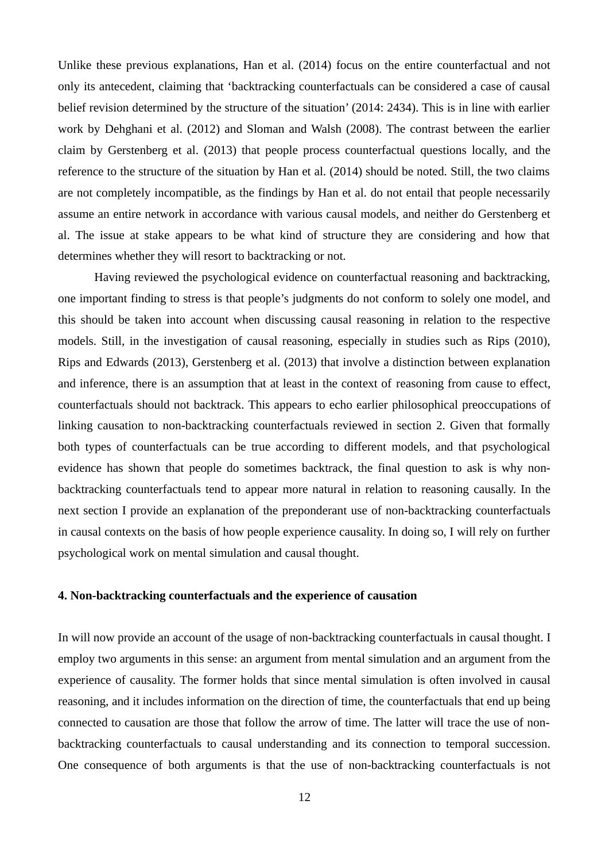Unlike these previous explanations, Han et al. (2014) focus on the entire counterfactual and not only its antecedent, claiming that 'backtracking counterfactuals can be considered a case of causal belief revision determined by the structure of the situation' (2014: 2434). This is in line with earlier work by Dehghani et al. (2012) and Sloman and Walsh (2008). The contrast between the earlier claim by Gerstenberg et al. (2013) that people process counterfactual questions locally, and the reference to the structure of the situation by Han et al. (2014) should be noted. Still, the two claims are not completely incompatible, as the findings by Han et al. do not entail that people necessarily assume an entire network in accordance with various causal models, and neither do Gerstenberg et al. The issue at stake appears to be what kind of structure they are considering and how that determines whether they will resort to backtracking or not.

Having reviewed the psychological evidence on counterfactual reasoning and backtracking, one important finding to stress is that people's judgments do not conform to solely one model, and this should be taken into account when discussing causal reasoning in relation to the respective models. Still, in the investigation of causal reasoning, especially in studies such as Rips (2010), Rips and Edwards (2013), Gerstenberg et al. (2013) that involve a distinction between explanation and inference, there is an assumption that at least in the context of reasoning from cause to effect, counterfactuals should not backtrack. This appears to echo earlier philosophical preoccupations of linking causation to non-backtracking counterfactuals reviewed in section 2. Given that formally both types of counterfactuals can be true according to different models, and that psychological evidence has shown that people do sometimes backtrack, the final question to ask is why nonbacktracking counterfactuals tend to appear more natural in relation to reasoning causally. In the next section I provide an explanation of the preponderant use of non-backtracking counterfactuals in causal contexts on the basis of how people experience causality. In doing so, I will rely on further psychological work on mental simulation and causal thought.

# **4. Non-backtracking counterfactuals and the experience of causation**

In will now provide an account of the usage of non-backtracking counterfactuals in causal thought. I employ two arguments in this sense: an argument from mental simulation and an argument from the experience of causality. The former holds that since mental simulation is often involved in causal reasoning, and it includes information on the direction of time, the counterfactuals that end up being connected to causation are those that follow the arrow of time. The latter will trace the use of nonbacktracking counterfactuals to causal understanding and its connection to temporal succession. One consequence of both arguments is that the use of non-backtracking counterfactuals is not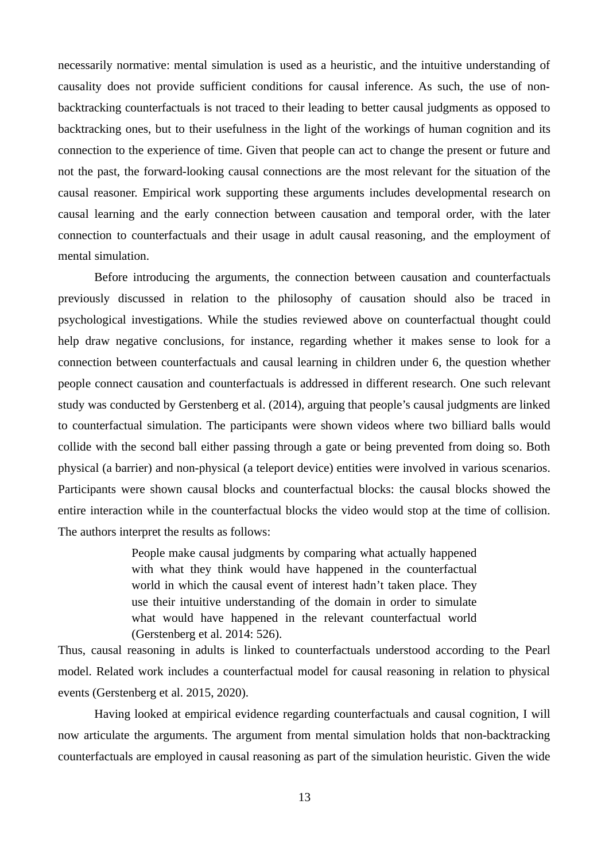necessarily normative: mental simulation is used as a heuristic, and the intuitive understanding of causality does not provide sufficient conditions for causal inference. As such, the use of nonbacktracking counterfactuals is not traced to their leading to better causal judgments as opposed to backtracking ones, but to their usefulness in the light of the workings of human cognition and its connection to the experience of time. Given that people can act to change the present or future and not the past, the forward-looking causal connections are the most relevant for the situation of the causal reasoner. Empirical work supporting these arguments includes developmental research on causal learning and the early connection between causation and temporal order, with the later connection to counterfactuals and their usage in adult causal reasoning, and the employment of mental simulation.

Before introducing the arguments, the connection between causation and counterfactuals previously discussed in relation to the philosophy of causation should also be traced in psychological investigations. While the studies reviewed above on counterfactual thought could help draw negative conclusions, for instance, regarding whether it makes sense to look for a connection between counterfactuals and causal learning in children under 6, the question whether people connect causation and counterfactuals is addressed in different research. One such relevant study was conducted by Gerstenberg et al. (2014), arguing that people's causal judgments are linked to counterfactual simulation. The participants were shown videos where two billiard balls would collide with the second ball either passing through a gate or being prevented from doing so. Both physical (a barrier) and non-physical (a teleport device) entities were involved in various scenarios. Participants were shown causal blocks and counterfactual blocks: the causal blocks showed the entire interaction while in the counterfactual blocks the video would stop at the time of collision. The authors interpret the results as follows:

> People make causal judgments by comparing what actually happened with what they think would have happened in the counterfactual world in which the causal event of interest hadn't taken place. They use their intuitive understanding of the domain in order to simulate what would have happened in the relevant counterfactual world (Gerstenberg et al. 2014: 526).

Thus, causal reasoning in adults is linked to counterfactuals understood according to the Pearl model. Related work includes a counterfactual model for causal reasoning in relation to physical events (Gerstenberg et al. 2015, 2020).

Having looked at empirical evidence regarding counterfactuals and causal cognition, I will now articulate the arguments. The argument from mental simulation holds that non-backtracking counterfactuals are employed in causal reasoning as part of the simulation heuristic. Given the wide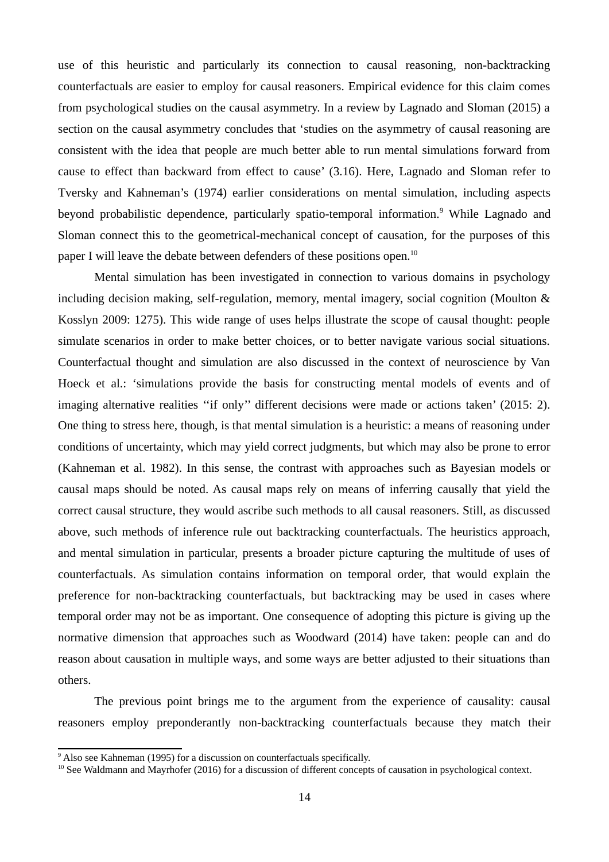use of this heuristic and particularly its connection to causal reasoning, non-backtracking counterfactuals are easier to employ for causal reasoners. Empirical evidence for this claim comes from psychological studies on the causal asymmetry. In a review by Lagnado and Sloman (2015) a section on the causal asymmetry concludes that 'studies on the asymmetry of causal reasoning are consistent with the idea that people are much better able to run mental simulations forward from cause to effect than backward from effect to cause' (3.16). Here, Lagnado and Sloman refer to Tversky and Kahneman's (1974) earlier considerations on mental simulation, including aspects beyond probabilistic dependence, particularly spatio-temporal information.<sup>[9](#page-13-0)</sup> While Lagnado and Sloman connect this to the geometrical-mechanical concept of causation, for the purposes of this paper I will leave the debate between defenders of these positions open.<sup>[10](#page-13-1)</sup>

Mental simulation has been investigated in connection to various domains in psychology including decision making, self-regulation, memory, mental imagery, social cognition (Moulton & Kosslyn 2009: 1275). This wide range of uses helps illustrate the scope of causal thought: people simulate scenarios in order to make better choices, or to better navigate various social situations. Counterfactual thought and simulation are also discussed in the context of neuroscience by Van Hoeck et al.: 'simulations provide the basis for constructing mental models of events and of imaging alternative realities ''if only'' different decisions were made or actions taken' (2015: 2). One thing to stress here, though, is that mental simulation is a heuristic: a means of reasoning under conditions of uncertainty, which may yield correct judgments, but which may also be prone to error (Kahneman et al. 1982). In this sense, the contrast with approaches such as Bayesian models or causal maps should be noted. As causal maps rely on means of inferring causally that yield the correct causal structure, they would ascribe such methods to all causal reasoners. Still, as discussed above, such methods of inference rule out backtracking counterfactuals. The heuristics approach, and mental simulation in particular, presents a broader picture capturing the multitude of uses of counterfactuals. As simulation contains information on temporal order, that would explain the preference for non-backtracking counterfactuals, but backtracking may be used in cases where temporal order may not be as important. One consequence of adopting this picture is giving up the normative dimension that approaches such as Woodward (2014) have taken: people can and do reason about causation in multiple ways, and some ways are better adjusted to their situations than others.

The previous point brings me to the argument from the experience of causality: causal reasoners employ preponderantly non-backtracking counterfactuals because they match their

<span id="page-13-0"></span><sup>&</sup>lt;sup>9</sup> Also see Kahneman (1995) for a discussion on counterfactuals specifically.

<span id="page-13-1"></span> $10$  See Waldmann and Mayrhofer (2016) for a discussion of different concepts of causation in psychological context.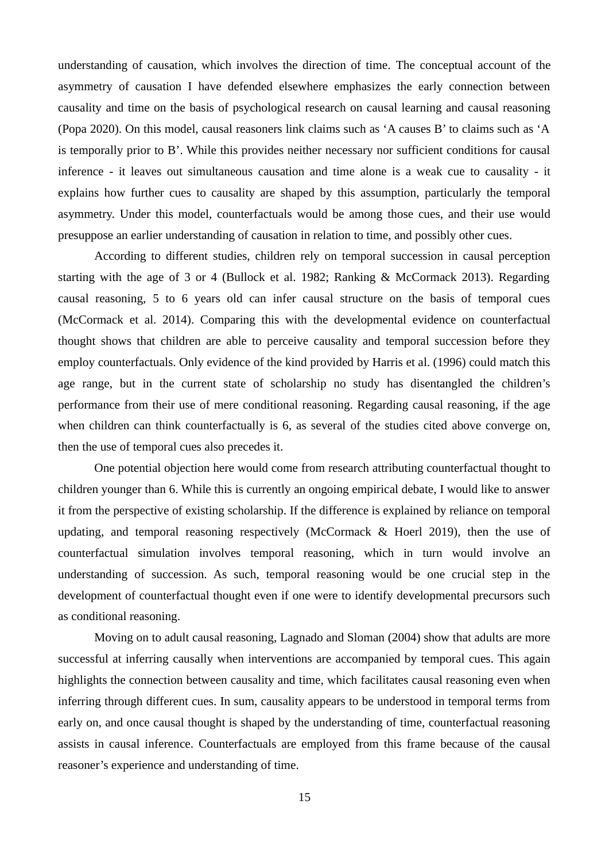understanding of causation, which involves the direction of time. The conceptual account of the asymmetry of causation I have defended elsewhere emphasizes the early connection between causality and time on the basis of psychological research on causal learning and causal reasoning (Popa 2020). On this model, causal reasoners link claims such as 'A causes B' to claims such as 'A is temporally prior to B'. While this provides neither necessary nor sufficient conditions for causal inference - it leaves out simultaneous causation and time alone is a weak cue to causality - it explains how further cues to causality are shaped by this assumption, particularly the temporal asymmetry. Under this model, counterfactuals would be among those cues, and their use would presuppose an earlier understanding of causation in relation to time, and possibly other cues.

According to different studies, children rely on temporal succession in causal perception starting with the age of 3 or 4 (Bullock et al. 1982; Ranking & McCormack 2013). Regarding causal reasoning, 5 to 6 years old can infer causal structure on the basis of temporal cues (McCormack et al. 2014). Comparing this with the developmental evidence on counterfactual thought shows that children are able to perceive causality and temporal succession before they employ counterfactuals. Only evidence of the kind provided by Harris et al. (1996) could match this age range, but in the current state of scholarship no study has disentangled the children's performance from their use of mere conditional reasoning. Regarding causal reasoning, if the age when children can think counterfactually is 6, as several of the studies cited above converge on, then the use of temporal cues also precedes it.

One potential objection here would come from research attributing counterfactual thought to children younger than 6. While this is currently an ongoing empirical debate, I would like to answer it from the perspective of existing scholarship. If the difference is explained by reliance on temporal updating, and temporal reasoning respectively (McCormack & Hoerl 2019), then the use of counterfactual simulation involves temporal reasoning, which in turn would involve an understanding of succession. As such, temporal reasoning would be one crucial step in the development of counterfactual thought even if one were to identify developmental precursors such as conditional reasoning.

Moving on to adult causal reasoning, Lagnado and Sloman (2004) show that adults are more successful at inferring causally when interventions are accompanied by temporal cues. This again highlights the connection between causality and time, which facilitates causal reasoning even when inferring through different cues. In sum, causality appears to be understood in temporal terms from early on, and once causal thought is shaped by the understanding of time, counterfactual reasoning assists in causal inference. Counterfactuals are employed from this frame because of the causal reasoner's experience and understanding of time.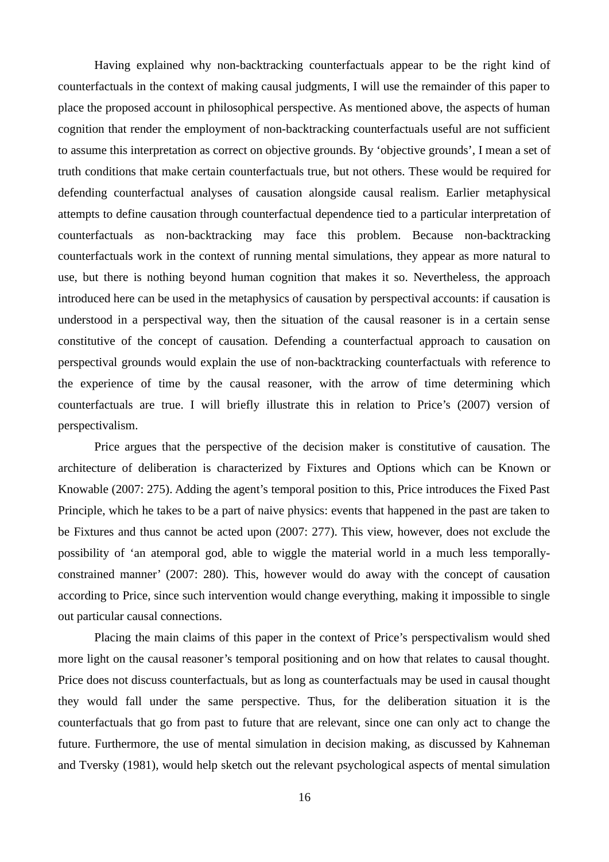Having explained why non-backtracking counterfactuals appear to be the right kind of counterfactuals in the context of making causal judgments, I will use the remainder of this paper to place the proposed account in philosophical perspective. As mentioned above, the aspects of human cognition that render the employment of non-backtracking counterfactuals useful are not sufficient to assume this interpretation as correct on objective grounds. By 'objective grounds', I mean a set of truth conditions that make certain counterfactuals true, but not others. These would be required for defending counterfactual analyses of causation alongside causal realism. Earlier metaphysical attempts to define causation through counterfactual dependence tied to a particular interpretation of counterfactuals as non-backtracking may face this problem. Because non-backtracking counterfactuals work in the context of running mental simulations, they appear as more natural to use, but there is nothing beyond human cognition that makes it so. Nevertheless, the approach introduced here can be used in the metaphysics of causation by perspectival accounts: if causation is understood in a perspectival way, then the situation of the causal reasoner is in a certain sense constitutive of the concept of causation. Defending a counterfactual approach to causation on perspectival grounds would explain the use of non-backtracking counterfactuals with reference to the experience of time by the causal reasoner, with the arrow of time determining which counterfactuals are true. I will briefly illustrate this in relation to Price's (2007) version of perspectivalism.

Price argues that the perspective of the decision maker is constitutive of causation. The architecture of deliberation is characterized by Fixtures and Options which can be Known or Knowable (2007: 275). Adding the agent's temporal position to this, Price introduces the Fixed Past Principle, which he takes to be a part of naive physics: events that happened in the past are taken to be Fixtures and thus cannot be acted upon (2007: 277). This view, however, does not exclude the possibility of 'an atemporal god, able to wiggle the material world in a much less temporallyconstrained manner' (2007: 280). This, however would do away with the concept of causation according to Price, since such intervention would change everything, making it impossible to single out particular causal connections.

Placing the main claims of this paper in the context of Price's perspectivalism would shed more light on the causal reasoner's temporal positioning and on how that relates to causal thought. Price does not discuss counterfactuals, but as long as counterfactuals may be used in causal thought they would fall under the same perspective. Thus, for the deliberation situation it is the counterfactuals that go from past to future that are relevant, since one can only act to change the future. Furthermore, the use of mental simulation in decision making, as discussed by Kahneman and Tversky (1981), would help sketch out the relevant psychological aspects of mental simulation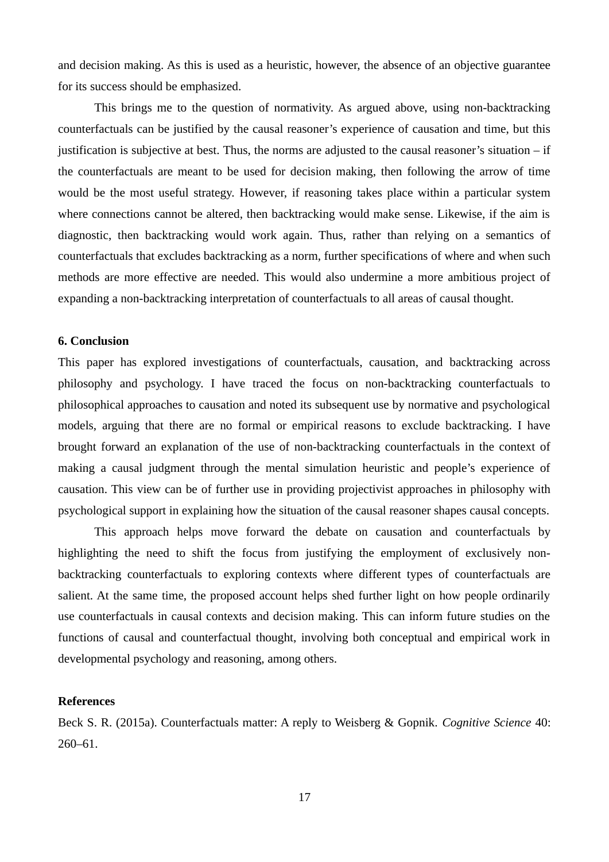and decision making. As this is used as a heuristic, however, the absence of an objective guarantee for its success should be emphasized.

This brings me to the question of normativity. As argued above, using non-backtracking counterfactuals can be justified by the causal reasoner's experience of causation and time, but this justification is subjective at best. Thus, the norms are adjusted to the causal reasoner's situation  $-$  if the counterfactuals are meant to be used for decision making, then following the arrow of time would be the most useful strategy. However, if reasoning takes place within a particular system where connections cannot be altered, then backtracking would make sense. Likewise, if the aim is diagnostic, then backtracking would work again. Thus, rather than relying on a semantics of counterfactuals that excludes backtracking as a norm, further specifications of where and when such methods are more effective are needed. This would also undermine a more ambitious project of expanding a non-backtracking interpretation of counterfactuals to all areas of causal thought.

# **6. Conclusion**

This paper has explored investigations of counterfactuals, causation, and backtracking across philosophy and psychology. I have traced the focus on non-backtracking counterfactuals to philosophical approaches to causation and noted its subsequent use by normative and psychological models, arguing that there are no formal or empirical reasons to exclude backtracking. I have brought forward an explanation of the use of non-backtracking counterfactuals in the context of making a causal judgment through the mental simulation heuristic and people's experience of causation. This view can be of further use in providing projectivist approaches in philosophy with psychological support in explaining how the situation of the causal reasoner shapes causal concepts.

This approach helps move forward the debate on causation and counterfactuals by highlighting the need to shift the focus from justifying the employment of exclusively nonbacktracking counterfactuals to exploring contexts where different types of counterfactuals are salient. At the same time, the proposed account helps shed further light on how people ordinarily use counterfactuals in causal contexts and decision making. This can inform future studies on the functions of causal and counterfactual thought, involving both conceptual and empirical work in developmental psychology and reasoning, among others.

# **References**

Beck S. R. (2015a). Counterfactuals matter: A reply to Weisberg & Gopnik. *Cognitive Science* 40: 260–61.

17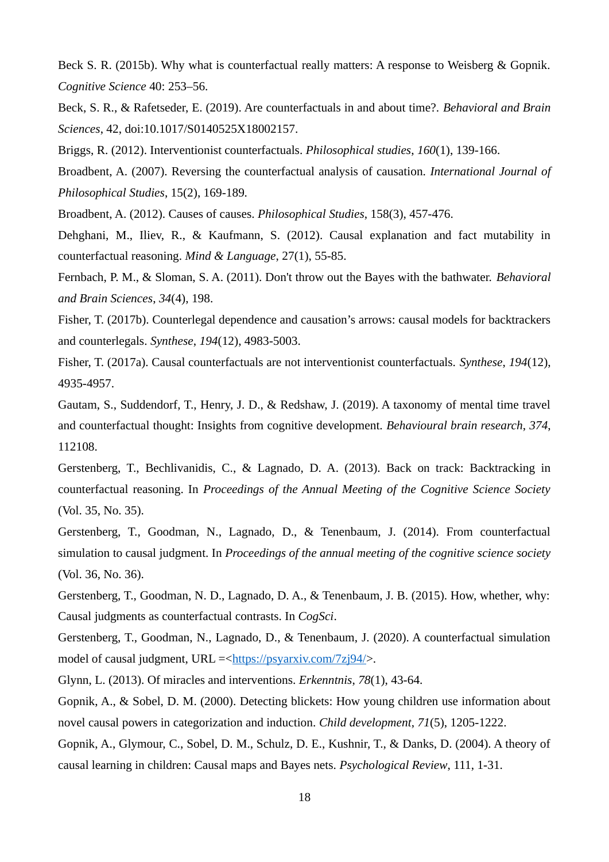Beck S. R. (2015b). Why what is counterfactual really matters: A response to Weisberg & Gopnik. *Cognitive Science* 40: 253–56.

Beck, S. R., & Rafetseder, E. (2019). Are counterfactuals in and about time?. *Behavioral and Brain Sciences*, 42, doi:10.1017/S0140525X18002157.

Briggs, R. (2012). Interventionist counterfactuals. *Philosophical studies*, *160*(1), 139-166.

Broadbent, A. (2007). Reversing the counterfactual analysis of causation. *International Journal of Philosophical Studies*, 15(2), 169-189*.*

Broadbent, A. (2012). Causes of causes. *Philosophical Studies*, 158(3), 457-476.

Dehghani, M., Iliev, R., & Kaufmann, S. (2012). Causal explanation and fact mutability in counterfactual reasoning. *Mind & Language*, 27(1), 55-85.

Fernbach, P. M., & Sloman, S. A. (2011). Don't throw out the Bayes with the bathwater. *Behavioral and Brain Sciences*, *34*(4), 198.

Fisher, T. (2017b). Counterlegal dependence and causation's arrows: causal models for backtrackers and counterlegals. *Synthese*, *194*(12), 4983-5003.

Fisher, T. (2017a). Causal counterfactuals are not interventionist counterfactuals. *Synthese*, *194*(12), 4935-4957.

Gautam, S., Suddendorf, T., Henry, J. D., & Redshaw, J. (2019). A taxonomy of mental time travel and counterfactual thought: Insights from cognitive development. *Behavioural brain research*, *374*, 112108.

Gerstenberg, T., Bechlivanidis, C., & Lagnado, D. A. (2013). Back on track: Backtracking in counterfactual reasoning. In *Proceedings of the Annual Meeting of the Cognitive Science Society* (Vol. 35, No. 35).

Gerstenberg, T., Goodman, N., Lagnado, D., & Tenenbaum, J. (2014). From counterfactual simulation to causal judgment. In *Proceedings of the annual meeting of the cognitive science society* (Vol. 36, No. 36).

Gerstenberg, T., Goodman, N. D., Lagnado, D. A., & Tenenbaum, J. B. (2015). How, whether, why: Causal judgments as counterfactual contrasts. In *CogSci*.

Gerstenberg, T., Goodman, N., Lagnado, D., & Tenenbaum, J. (2020). A counterfactual simulation model of causal judgment, URL = [<https://psyarxiv.com/7zj94/](https://psyarxiv.com/7zj94/)>.

Glynn, L. (2013). Of miracles and interventions. *Erkenntnis*, *78*(1), 43-64.

Gopnik, A., & Sobel, D. M. (2000). Detecting blickets: How young children use information about novel causal powers in categorization and induction. *Child development*, *71*(5), 1205-1222.

Gopnik, A., Glymour, C., Sobel, D. M., Schulz, D. E., Kushnir, T., & Danks, D. (2004). A theory of causal learning in children: Causal maps and Bayes nets. *Psychological Review*, 111, 1-31.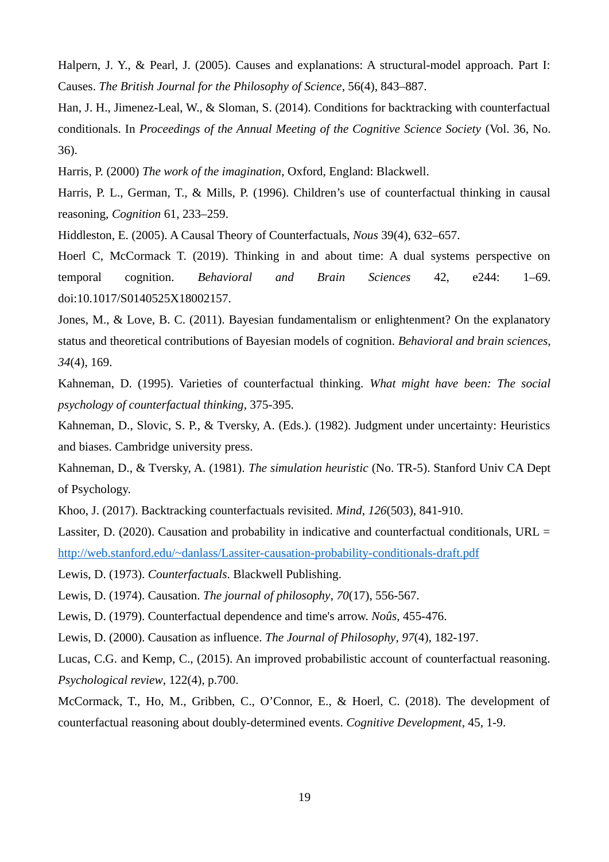Halpern, J. Y., & Pearl, J. (2005). Causes and explanations: A structural-model approach. Part I: Causes. *The British Journal for the Philosophy of Science*, 56(4), 843–887.

Han, J. H., Jimenez-Leal, W., & Sloman, S. (2014). Conditions for backtracking with counterfactual conditionals. In *Proceedings of the Annual Meeting of the Cognitive Science Society* (Vol. 36, No. 36).

Harris, P. (2000) *The work of the imagination*, Oxford, England: Blackwell.

Harris, P. L., German, T., & Mills, P. (1996). Children's use of counterfactual thinking in causal reasoning, *Cognition* 61, 233–259.

Hiddleston, E. (2005). A Causal Theory of Counterfactuals, *Nous* 39(4), 632–657.

Hoerl C, McCormack T. (2019). Thinking in and about time: A dual systems perspective on temporal cognition. *Behavioral and Brain Sciences* 42, e244: 1–69. doi:10.1017/S0140525X18002157.

Jones, M., & Love, B. C. (2011). Bayesian fundamentalism or enlightenment? On the explanatory status and theoretical contributions of Bayesian models of cognition. *Behavioral and brain sciences*, *34*(4), 169.

Kahneman, D. (1995). Varieties of counterfactual thinking. *What might have been: The social psychology of counterfactual thinking*, 375-395.

Kahneman, D., Slovic, S. P., & Tversky, A. (Eds.). (1982). Judgment under uncertainty: Heuristics and biases. Cambridge university press.

Kahneman, D., & Tversky, A. (1981). *The simulation heuristic* (No. TR-5). Stanford Univ CA Dept of Psychology.

Khoo, J. (2017). Backtracking counterfactuals revisited. *Mind*, *126*(503), 841-910.

Lassiter, D. (2020). Causation and probability in indicative and counterfactual conditionals, URL = <http://web.stanford.edu/~danlass/Lassiter-causation-probability-conditionals-draft.pdf>

Lewis, D. (1973). *Counterfactuals*. Blackwell Publishing.

Lewis, D. (1974). Causation. *The journal of philosophy*, *70*(17), 556-567.

Lewis, D. (1979). Counterfactual dependence and time's arrow. *Noûs*, 455-476.

Lewis, D. (2000). Causation as influence. *The Journal of Philosophy*, *97*(4), 182-197.

Lucas, C.G. and Kemp, C., (2015). An improved probabilistic account of counterfactual reasoning. *Psychological review*, 122(4), p.700.

McCormack, T., Ho, M., Gribben, C., O'Connor, E., & Hoerl, C. (2018). The development of counterfactual reasoning about doubly-determined events. *Cognitive Development*, 45, 1-9.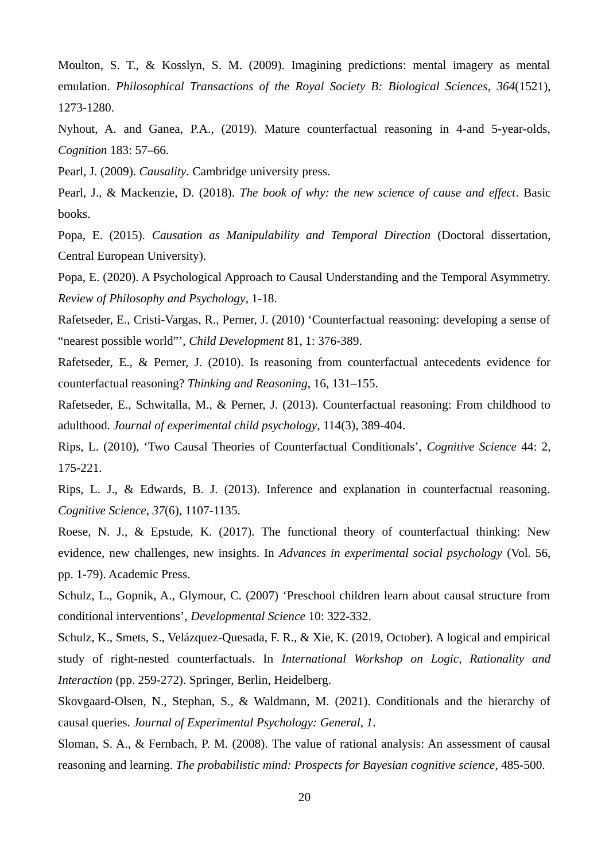Moulton, S. T., & Kosslyn, S. M. (2009). Imagining predictions: mental imagery as mental emulation. *Philosophical Transactions of the Royal Society B: Biological Sciences*, *364*(1521), 1273-1280.

Nyhout, A. and Ganea, P.A., (2019). Mature counterfactual reasoning in 4-and 5-year-olds, *Cognition* 183: 57–66.

Pearl, J. (2009). *Causality*. Cambridge university press.

Pearl, J., & Mackenzie, D. (2018). *The book of why: the new science of cause and effect*. Basic books.

Popa, E. (2015). *Causation as Manipulability and Temporal Direction* (Doctoral dissertation, Central European University).

Popa, E. (2020). A Psychological Approach to Causal Understanding and the Temporal Asymmetry. *Review of Philosophy and Psychology*, 1-18.

Rafetseder, E., Cristi-Vargas, R., Perner, J. (2010) 'Counterfactual reasoning: developing a sense of "nearest possible world"', *Child Development* 81, 1: 376-389.

Rafetseder, E., & Perner, J. (2010). Is reasoning from counterfactual antecedents evidence for counterfactual reasoning? *Thinking and Reasoning*, 16, 131–155.

Rafetseder, E., Schwitalla, M., & Perner, J. (2013). Counterfactual reasoning: From childhood to adulthood. *Journal of experimental child psychology*, 114(3), 389-404.

Rips, L. (2010), 'Two Causal Theories of Counterfactual Conditionals', *Cognitive Science* 44: 2, 175-221.

Rips, L. J., & Edwards, B. J. (2013). Inference and explanation in counterfactual reasoning. *Cognitive Science*, *37*(6), 1107-1135.

Roese, N. J., & Epstude, K. (2017). The functional theory of counterfactual thinking: New evidence, new challenges, new insights. In *Advances in experimental social psychology* (Vol. 56, pp. 1-79). Academic Press.

Schulz, L., Gopnik, A., Glymour, C. (2007) 'Preschool children learn about causal structure from conditional interventions', *Developmental Science* 10: 322-332.

Schulz, K., Smets, S., Velázquez-Quesada, F. R., & Xie, K. (2019, October). A logical and empirical study of right-nested counterfactuals. In *International Workshop on Logic, Rationality and Interaction* (pp. 259-272). Springer, Berlin, Heidelberg.

Skovgaard-Olsen, N., Stephan, S., & Waldmann, M. (2021). Conditionals and the hierarchy of causal queries. *Journal of Experimental Psychology: General*, *1*.

Sloman, S. A., & Fernbach, P. M. (2008). The value of rational analysis: An assessment of causal reasoning and learning. *The probabilistic mind: Prospects for Bayesian cognitive science*, 485-500.